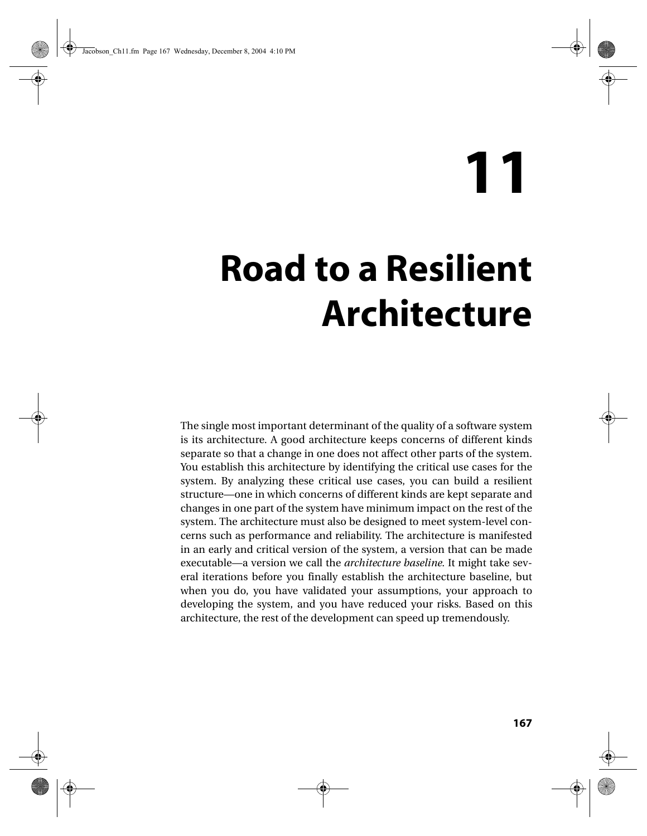# **11 Road to a Resilient Architecture**

The single most important determinant of the quality of a software system is its architecture. A good architecture keeps concerns of different kinds separate so that a change in one does not affect other parts of the system. You establish this architecture by identifying the critical use cases for the system. By analyzing these critical use cases, you can build a resilient structure—one in which concerns of different kinds are kept separate and changes in one part of the system have minimum impact on the rest of the system. The architecture must also be designed to meet system-level concerns such as performance and reliability. The architecture is manifested in an early and critical version of the system, a version that can be made executable—a version we call the *architecture baseline*. It might take several iterations before you finally establish the architecture baseline, but when you do, you have validated your assumptions, your approach to developing the system, and you have reduced your risks. Based on this architecture, the rest of the development can speed up tremendously.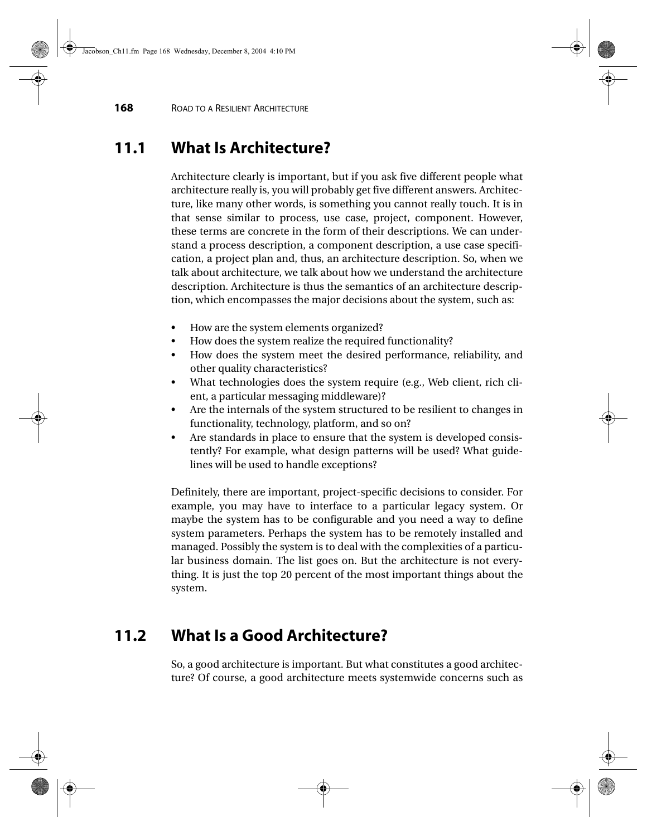# **11.1 What Is Architecture?**

Architecture clearly is important, but if you ask five different people what architecture really is, you will probably get five different answers. Architecture, like many other words, is something you cannot really touch. It is in that sense similar to process, use case, project, component. However, these terms are concrete in the form of their descriptions. We can understand a process description, a component description, a use case specification, a project plan and, thus, an architecture description. So, when we talk about architecture, we talk about how we understand the architecture description. Architecture is thus the semantics of an architecture description, which encompasses the major decisions about the system, such as:

- How are the system elements organized?
- How does the system realize the required functionality?
- How does the system meet the desired performance, reliability, and other quality characteristics?
- What technologies does the system require (e.g., Web client, rich client, a particular messaging middleware)?
- Are the internals of the system structured to be resilient to changes in functionality, technology, platform, and so on?
- Are standards in place to ensure that the system is developed consistently? For example, what design patterns will be used? What guidelines will be used to handle exceptions?

Definitely, there are important, project-specific decisions to consider. For example, you may have to interface to a particular legacy system. Or maybe the system has to be configurable and you need a way to define system parameters. Perhaps the system has to be remotely installed and managed. Possibly the system is to deal with the complexities of a particular business domain. The list goes on. But the architecture is not everything. It is just the top 20 percent of the most important things about the system.

## **11.2 What Is a Good Architecture?**

So, a good architecture is important. But what constitutes a good architecture? Of course, a good architecture meets systemwide concerns such as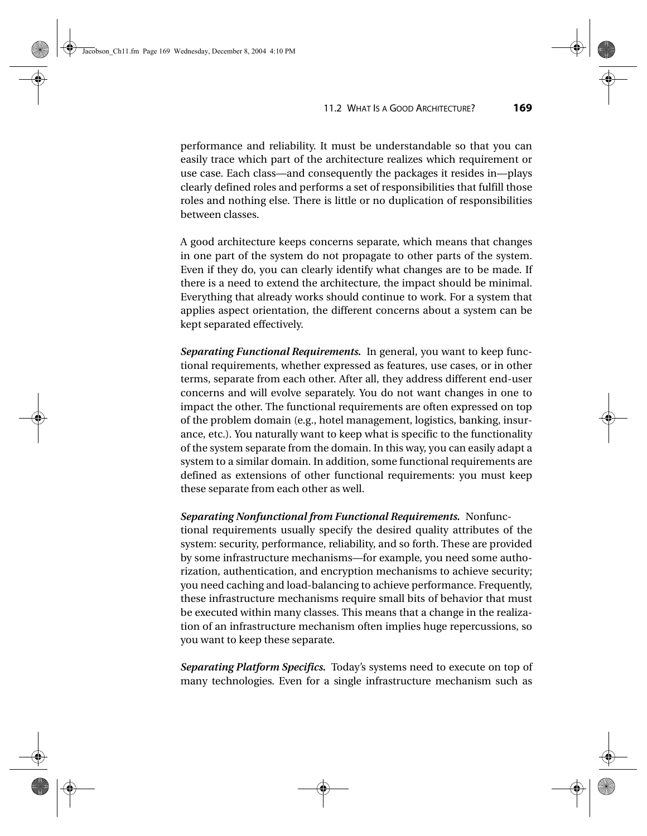#### 11.2 WHAT IS A GOOD ARCHITECTURE? **169**

performance and reliability. It must be understandable so that you can easily trace which part of the architecture realizes which requirement or use case. Each class—and consequently the packages it resides in—plays clearly defined roles and performs a set of responsibilities that fulfill those roles and nothing else. There is little or no duplication of responsibilities between classes.

A good architecture keeps concerns separate, which means that changes in one part of the system do not propagate to other parts of the system. Even if they do, you can clearly identify what changes are to be made. If there is a need to extend the architecture, the impact should be minimal. Everything that already works should continue to work. For a system that applies aspect orientation, the different concerns about a system can be kept separated effectively.

*Separating Functional Requirements.* In general, you want to keep functional requirements, whether expressed as features, use cases, or in other terms, separate from each other. After all, they address different end-user concerns and will evolve separately. You do not want changes in one to impact the other. The functional requirements are often expressed on top of the problem domain (e.g., hotel management, logistics, banking, insurance, etc.). You naturally want to keep what is specific to the functionality of the system separate from the domain. In this way, you can easily adapt a system to a similar domain. In addition, some functional requirements are defined as extensions of other functional requirements: you must keep these separate from each other as well.

#### *Separating Nonfunctional from Functional Requirements.* Nonfunc-

tional requirements usually specify the desired quality attributes of the system: security, performance, reliability, and so forth. These are provided by some infrastructure mechanisms—for example, you need some authorization, authentication, and encryption mechanisms to achieve security; you need caching and load-balancing to achieve performance. Frequently, these infrastructure mechanisms require small bits of behavior that must be executed within many classes. This means that a change in the realization of an infrastructure mechanism often implies huge repercussions, so you want to keep these separate.

*Separating Platform Specifics.* Today's systems need to execute on top of many technologies. Even for a single infrastructure mechanism such as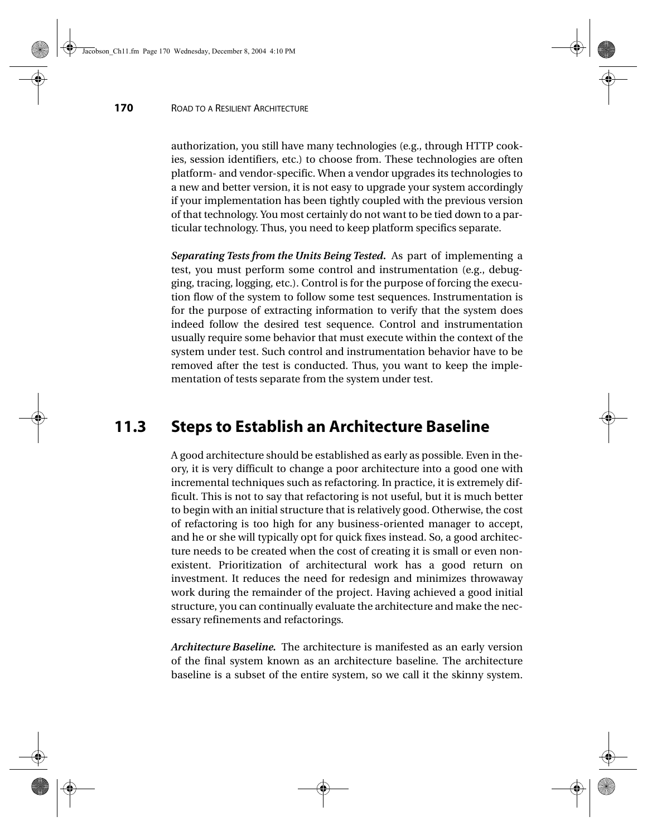Jacobson\_Ch11.fm Page 170 Wednesday, December 8, 2004 4:10 PM

## **170** ROAD TO A RESILIENT ARCHITECTURE

authorization, you still have many technologies (e.g., through HTTP cookies, session identifiers, etc.) to choose from. These technologies are often platform- and vendor-specific. When a vendor upgrades its technologies to a new and better version, it is not easy to upgrade your system accordingly if your implementation has been tightly coupled with the previous version of that technology. You most certainly do not want to be tied down to a particular technology. Thus, you need to keep platform specifics separate.

*Separating Tests from the Units Being Tested.* As part of implementing a test, you must perform some control and instrumentation (e.g., debugging, tracing, logging, etc.). Control is for the purpose of forcing the execution flow of the system to follow some test sequences. Instrumentation is for the purpose of extracting information to verify that the system does indeed follow the desired test sequence. Control and instrumentation usually require some behavior that must execute within the context of the system under test. Such control and instrumentation behavior have to be removed after the test is conducted. Thus, you want to keep the implementation of tests separate from the system under test.

## **11.3 Steps to Establish an Architecture Baseline**

A good architecture should be established as early as possible. Even in theory, it is very difficult to change a poor architecture into a good one with incremental techniques such as refactoring. In practice, it is extremely difficult. This is not to say that refactoring is not useful, but it is much better to begin with an initial structure that is relatively good. Otherwise, the cost of refactoring is too high for any business-oriented manager to accept, and he or she will typically opt for quick fixes instead. So, a good architecture needs to be created when the cost of creating it is small or even nonexistent. Prioritization of architectural work has a good return on investment. It reduces the need for redesign and minimizes throwaway work during the remainder of the project. Having achieved a good initial structure, you can continually evaluate the architecture and make the necessary refinements and refactorings.

*Architecture Baseline.* The architecture is manifested as an early version of the final system known as an architecture baseline. The architecture baseline is a subset of the entire system, so we call it the skinny system.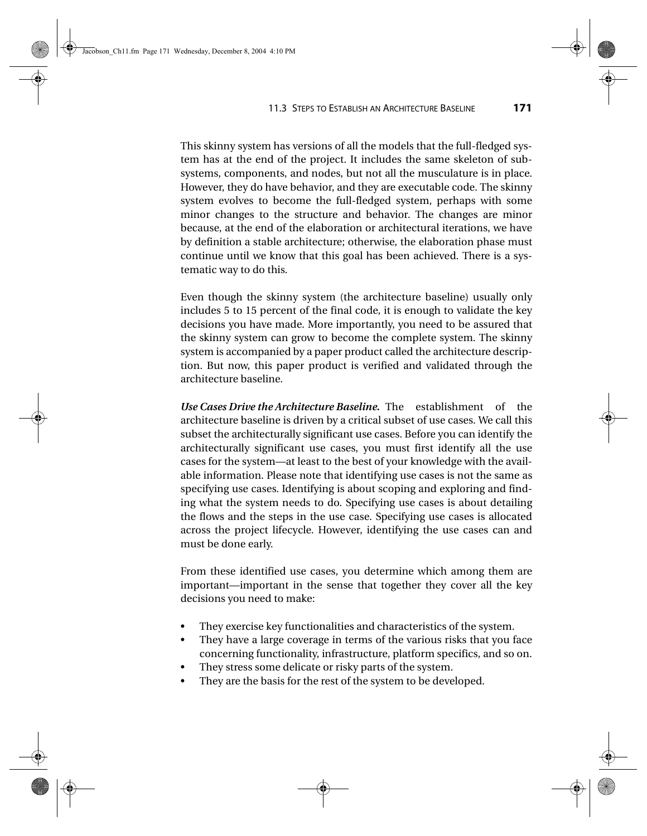#### 11.3 STEPS TO ESTABLISH AN ARCHITECTURE BASELINE **171**

This skinny system has versions of all the models that the full-fledged system has at the end of the project. It includes the same skeleton of subsystems, components, and nodes, but not all the musculature is in place. However, they do have behavior, and they are executable code. The skinny system evolves to become the full-fledged system, perhaps with some minor changes to the structure and behavior. The changes are minor because, at the end of the elaboration or architectural iterations, we have by definition a stable architecture; otherwise, the elaboration phase must continue until we know that this goal has been achieved. There is a systematic way to do this.

Even though the skinny system (the architecture baseline) usually only includes 5 to 15 percent of the final code, it is enough to validate the key decisions you have made. More importantly, you need to be assured that the skinny system can grow to become the complete system. The skinny system is accompanied by a paper product called the architecture description. But now, this paper product is verified and validated through the architecture baseline.

*Use Cases Drive the Architecture Baseline.* The establishment of the architecture baseline is driven by a critical subset of use cases. We call this subset the architecturally significant use cases. Before you can identify the architecturally significant use cases, you must first identify all the use cases for the system—at least to the best of your knowledge with the available information. Please note that identifying use cases is not the same as specifying use cases. Identifying is about scoping and exploring and finding what the system needs to do. Specifying use cases is about detailing the flows and the steps in the use case. Specifying use cases is allocated across the project lifecycle. However, identifying the use cases can and must be done early.

From these identified use cases, you determine which among them are important—important in the sense that together they cover all the key decisions you need to make:

- They exercise key functionalities and characteristics of the system.
- They have a large coverage in terms of the various risks that you face concerning functionality, infrastructure, platform specifics, and so on.
- They stress some delicate or risky parts of the system.
- They are the basis for the rest of the system to be developed.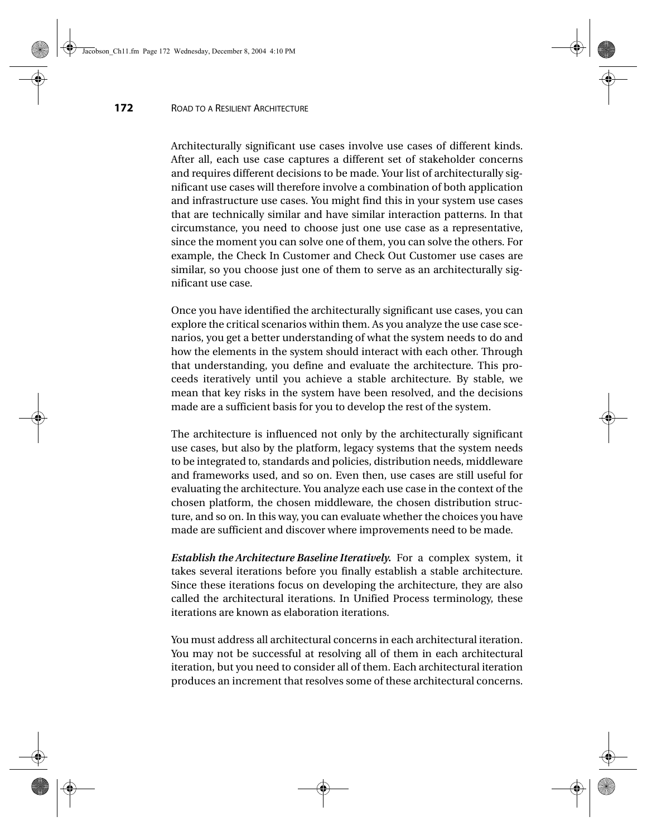Architecturally significant use cases involve use cases of different kinds. After all, each use case captures a different set of stakeholder concerns and requires different decisions to be made. Your list of architecturally significant use cases will therefore involve a combination of both application and infrastructure use cases. You might find this in your system use cases that are technically similar and have similar interaction patterns. In that circumstance, you need to choose just one use case as a representative, since the moment you can solve one of them, you can solve the others. For example, the Check In Customer and Check Out Customer use cases are similar, so you choose just one of them to serve as an architecturally significant use case.

Once you have identified the architecturally significant use cases, you can explore the critical scenarios within them. As you analyze the use case scenarios, you get a better understanding of what the system needs to do and how the elements in the system should interact with each other. Through that understanding, you define and evaluate the architecture. This proceeds iteratively until you achieve a stable architecture. By stable, we mean that key risks in the system have been resolved, and the decisions made are a sufficient basis for you to develop the rest of the system.

The architecture is influenced not only by the architecturally significant use cases, but also by the platform, legacy systems that the system needs to be integrated to, standards and policies, distribution needs, middleware and frameworks used, and so on. Even then, use cases are still useful for evaluating the architecture. You analyze each use case in the context of the chosen platform, the chosen middleware, the chosen distribution structure, and so on. In this way, you can evaluate whether the choices you have made are sufficient and discover where improvements need to be made.

*Establish the Architecture Baseline Iteratively.* For a complex system, it takes several iterations before you finally establish a stable architecture. Since these iterations focus on developing the architecture, they are also called the architectural iterations. In Unified Process terminology, these iterations are known as elaboration iterations.

You must address all architectural concerns in each architectural iteration. You may not be successful at resolving all of them in each architectural iteration, but you need to consider all of them. Each architectural iteration produces an increment that resolves some of these architectural concerns.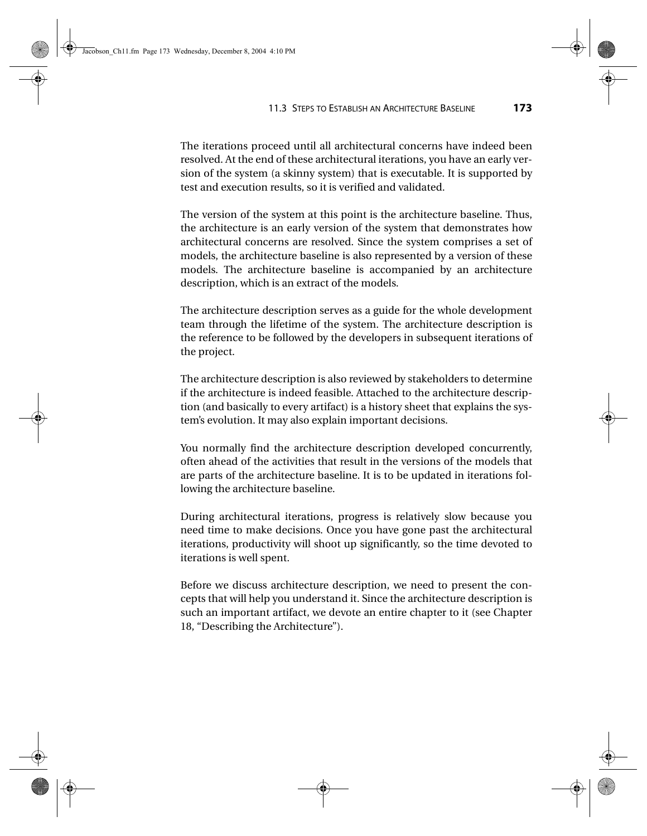#### 11.3 STEPS TO ESTABLISH AN ARCHITECTURE BASELINE **173**

The iterations proceed until all architectural concerns have indeed been resolved. At the end of these architectural iterations, you have an early version of the system (a skinny system) that is executable. It is supported by test and execution results, so it is verified and validated.

The version of the system at this point is the architecture baseline. Thus, the architecture is an early version of the system that demonstrates how architectural concerns are resolved. Since the system comprises a set of models, the architecture baseline is also represented by a version of these models. The architecture baseline is accompanied by an architecture description, which is an extract of the models.

The architecture description serves as a guide for the whole development team through the lifetime of the system. The architecture description is the reference to be followed by the developers in subsequent iterations of the project.

The architecture description is also reviewed by stakeholders to determine if the architecture is indeed feasible. Attached to the architecture description (and basically to every artifact) is a history sheet that explains the system's evolution. It may also explain important decisions.

You normally find the architecture description developed concurrently, often ahead of the activities that result in the versions of the models that are parts of the architecture baseline. It is to be updated in iterations following the architecture baseline.

During architectural iterations, progress is relatively slow because you need time to make decisions. Once you have gone past the architectural iterations, productivity will shoot up significantly, so the time devoted to iterations is well spent.

Before we discuss architecture description, we need to present the concepts that will help you understand it. Since the architecture description is such an important artifact, we devote an entire chapter to it (see Chapter 18, "Describing the Architecture").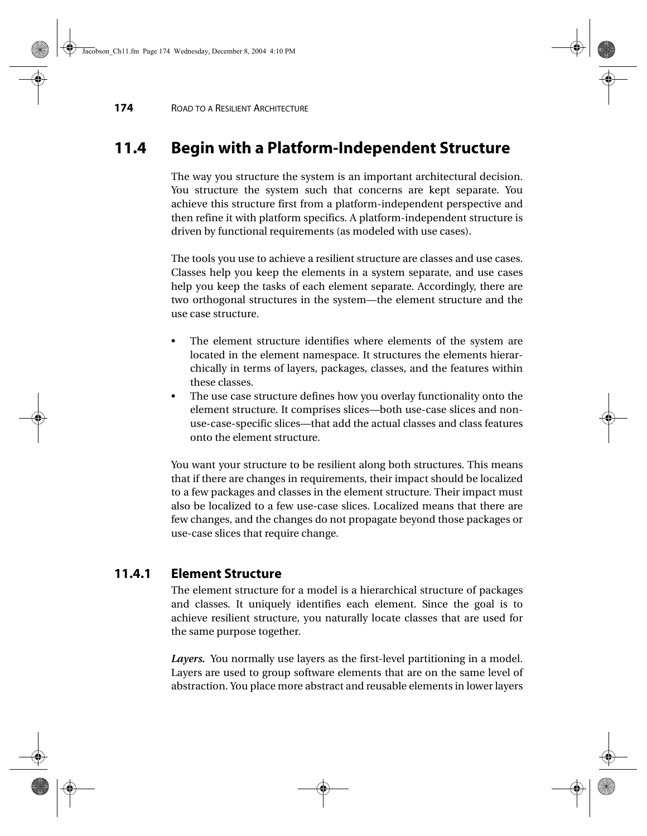# **11.4 Begin with a Platform-Independent Structure**

The way you structure the system is an important architectural decision. You structure the system such that concerns are kept separate. You achieve this structure first from a platform-independent perspective and then refine it with platform specifics. A platform-independent structure is driven by functional requirements (as modeled with use cases).

The tools you use to achieve a resilient structure are classes and use cases. Classes help you keep the elements in a system separate, and use cases help you keep the tasks of each element separate. Accordingly, there are two orthogonal structures in the system—the element structure and the use case structure.

- The element structure identifies where elements of the system are located in the element namespace. It structures the elements hierarchically in terms of layers, packages, classes, and the features within these classes.
- The use case structure defines how you overlay functionality onto the element structure. It comprises slices—both use-case slices and nonuse-case-specific slices—that add the actual classes and class features onto the element structure.

You want your structure to be resilient along both structures. This means that if there are changes in requirements, their impact should be localized to a few packages and classes in the element structure. Their impact must also be localized to a few use-case slices. Localized means that there are few changes, and the changes do not propagate beyond those packages or use-case slices that require change.

## **11.4.1 Element Structure**

The element structure for a model is a hierarchical structure of packages and classes. It uniquely identifies each element. Since the goal is to achieve resilient structure, you naturally locate classes that are used for the same purpose together.

*Layers.* You normally use layers as the first-level partitioning in a model. Layers are used to group software elements that are on the same level of abstraction. You place more abstract and reusable elements in lower layers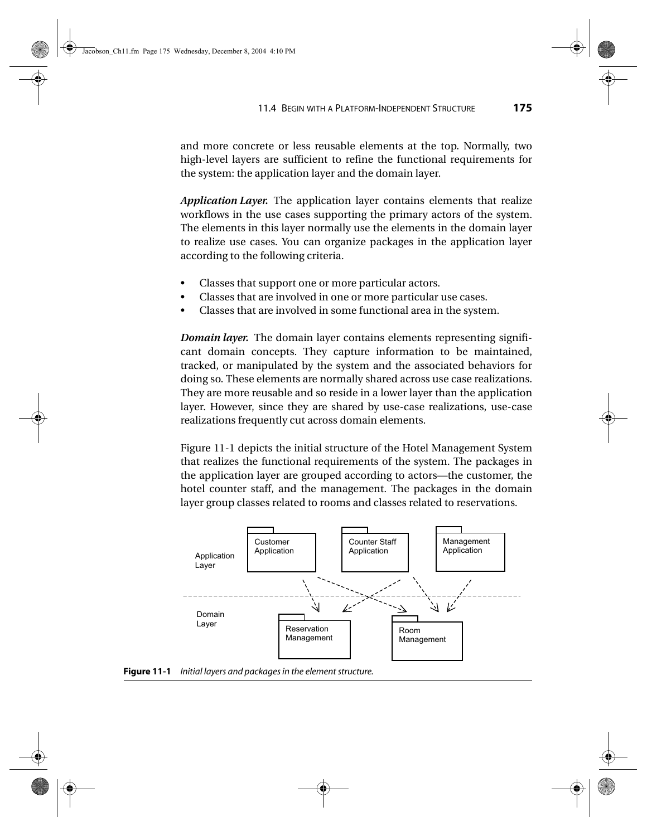11.4 BEGIN WITH A PLATFORM-INDEPENDENT STRUCTURE **175**

and more concrete or less reusable elements at the top. Normally, two high-level layers are sufficient to refine the functional requirements for the system: the application layer and the domain layer.

*Application Layer.* The application layer contains elements that realize workflows in the use cases supporting the primary actors of the system. The elements in this layer normally use the elements in the domain layer to realize use cases. You can organize packages in the application layer according to the following criteria.

- Classes that support one or more particular actors.
- Classes that are involved in one or more particular use cases.
- Classes that are involved in some functional area in the system.

*Domain layer.* The domain layer contains elements representing significant domain concepts. They capture information to be maintained, tracked, or manipulated by the system and the associated behaviors for doing so. These elements are normally shared across use case realizations. They are more reusable and so reside in a lower layer than the application layer. However, since they are shared by use-case realizations, use-case realizations frequently cut across domain elements.

Figure 11-1 depicts the initial structure of the Hotel Management System that realizes the functional requirements of the system. The packages in the application layer are grouped according to actors—the customer, the hotel counter staff, and the management. The packages in the domain layer group classes related to rooms and classes related to reservations.



#### **Figure 11-1** *Initial layers and packages in the element structure.*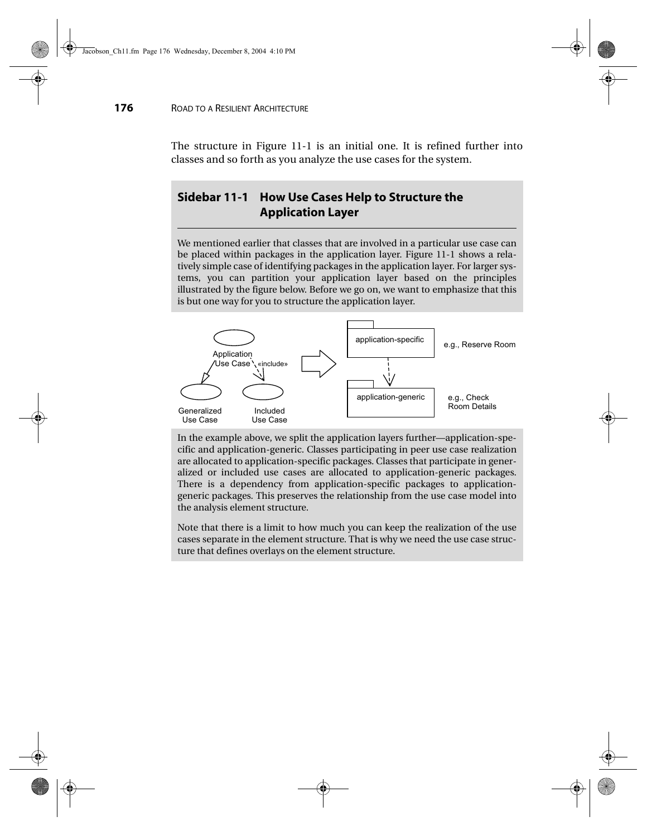The structure in Figure 11-1 is an initial one. It is refined further into classes and so forth as you analyze the use cases for the system.

## **Sidebar 11-1 How Use Cases Help to Structure the Application Layer**

We mentioned earlier that classes that are involved in a particular use case can be placed within packages in the application layer. Figure 11-1 shows a relatively simple case of identifying packages in the application layer. For larger systems, you can partition your application layer based on the principles illustrated by the figure below. Before we go on, we want to emphasize that this is but one way for you to structure the application layer.



In the example above, we split the application layers further—application-specific and application-generic. Classes participating in peer use case realization are allocated to application-specific packages. Classes that participate in generalized or included use cases are allocated to application-generic packages. There is a dependency from application-specific packages to applicationgeneric packages. This preserves the relationship from the use case model into the analysis element structure.

Note that there is a limit to how much you can keep the realization of the use cases separate in the element structure. That is why we need the use case structure that defines overlays on the element structure.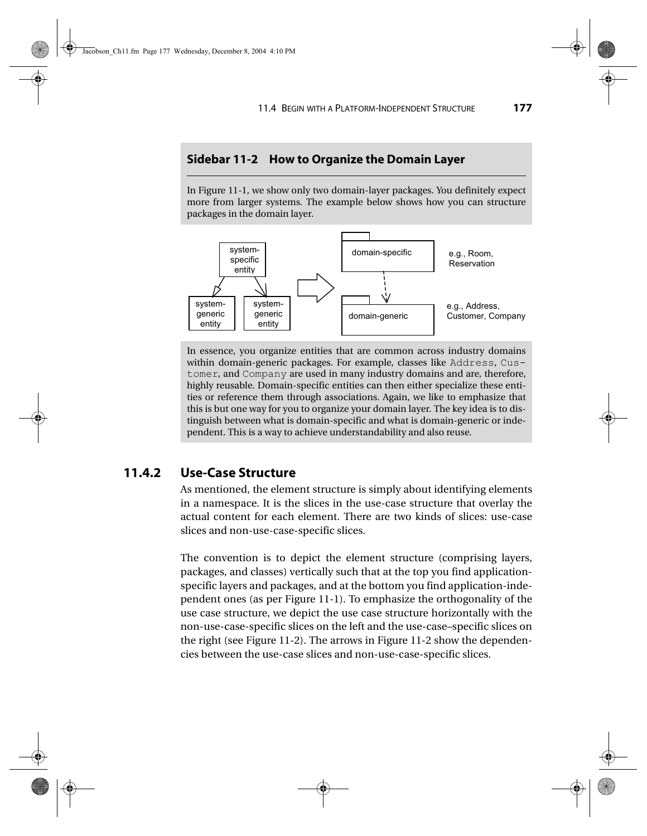### **Sidebar 11-2 How to Organize the Domain Layer**

In Figure 11-1, we show only two domain-layer packages. You definitely expect more from larger systems. The example below shows how you can structure packages in the domain layer.



In essence, you organize entities that are common across industry domains within domain-generic packages. For example, classes like Address, Customer, and Company are used in many industry domains and are, therefore, highly reusable. Domain-specific entities can then either specialize these entities or reference them through associations. Again, we like to emphasize that this is but one way for you to organize your domain layer. The key idea is to distinguish between what is domain-specific and what is domain-generic or independent. This is a way to achieve understandability and also reuse.

## **11.4.2 Use-Case Structure**

As mentioned, the element structure is simply about identifying elements in a namespace. It is the slices in the use-case structure that overlay the actual content for each element. There are two kinds of slices: use-case slices and non-use-case-specific slices.

The convention is to depict the element structure (comprising layers, packages, and classes) vertically such that at the top you find applicationspecific layers and packages, and at the bottom you find application-independent ones (as per Figure 11-1). To emphasize the orthogonality of the use case structure, we depict the use case structure horizontally with the non-use-case-specific slices on the left and the use-case–specific slices on the right (see Figure 11-2). The arrows in Figure 11-2 show the dependencies between the use-case slices and non-use-case-specific slices.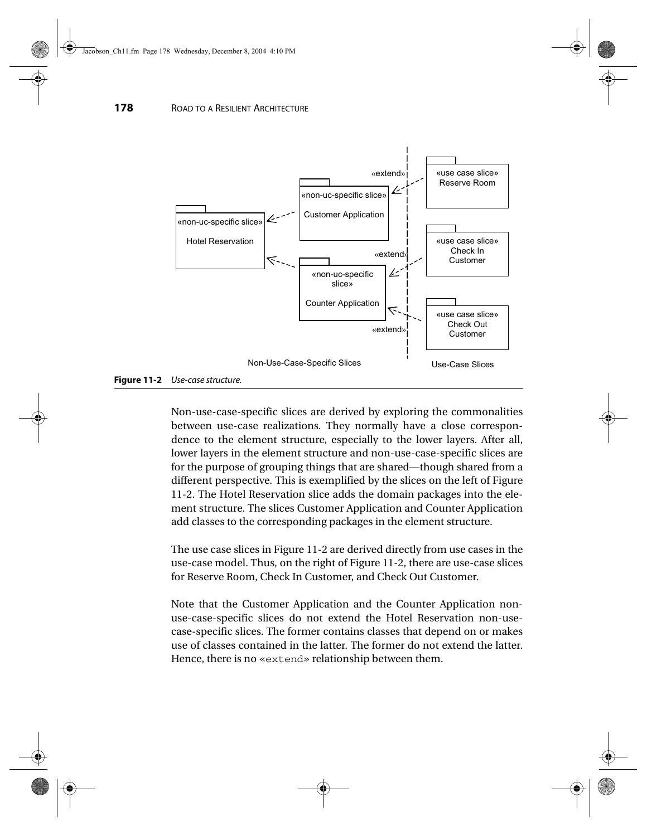

#### **Figure 11-2** *Use-case structure.*

Non-use-case-specific slices are derived by exploring the commonalities between use-case realizations. They normally have a close correspondence to the element structure, especially to the lower layers. After all, lower layers in the element structure and non-use-case-specific slices are for the purpose of grouping things that are shared—though shared from a different perspective. This is exemplified by the slices on the left of Figure 11-2. The Hotel Reservation slice adds the domain packages into the element structure. The slices Customer Application and Counter Application add classes to the corresponding packages in the element structure.

The use case slices in Figure 11-2 are derived directly from use cases in the use-case model. Thus, on the right of Figure 11-2, there are use-case slices for Reserve Room, Check In Customer, and Check Out Customer.

Note that the Customer Application and the Counter Application nonuse-case-specific slices do not extend the Hotel Reservation non-usecase-specific slices. The former contains classes that depend on or makes use of classes contained in the latter. The former do not extend the latter. Hence, there is no «extend» relationship between them.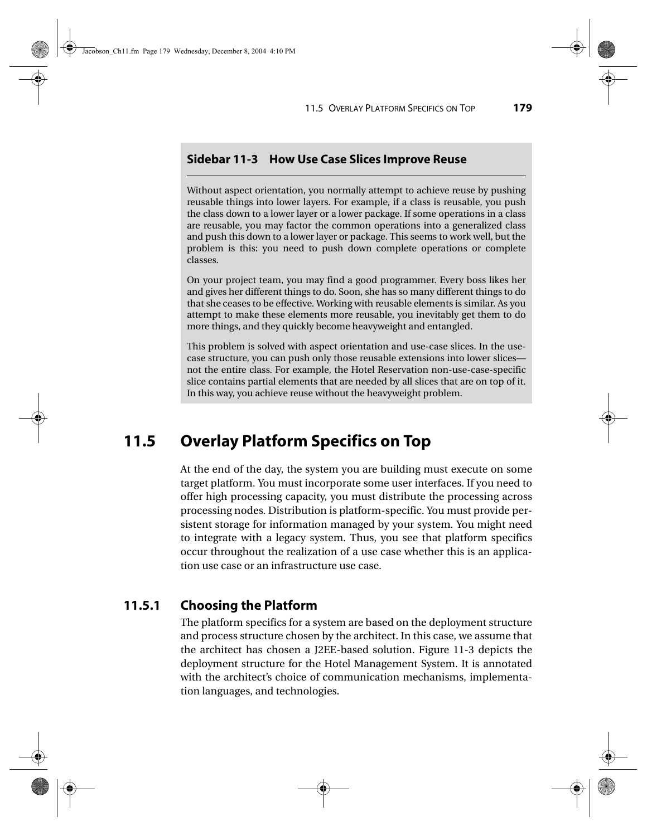#### 11.5 OVERLAY PLATFORM SPECIFICS ON TOP **179**

## **Sidebar 11-3 How Use Case Slices Improve Reuse**

Without aspect orientation, you normally attempt to achieve reuse by pushing reusable things into lower layers. For example, if a class is reusable, you push the class down to a lower layer or a lower package. If some operations in a class are reusable, you may factor the common operations into a generalized class and push this down to a lower layer or package. This seems to work well, but the problem is this: you need to push down complete operations or complete classes.

On your project team, you may find a good programmer. Every boss likes her and gives her different things to do. Soon, she has so many different things to do that she ceases to be effective. Working with reusable elements is similar. As you attempt to make these elements more reusable, you inevitably get them to do more things, and they quickly become heavyweight and entangled.

This problem is solved with aspect orientation and use-case slices. In the usecase structure, you can push only those reusable extensions into lower slices not the entire class. For example, the Hotel Reservation non-use-case-specific slice contains partial elements that are needed by all slices that are on top of it. In this way, you achieve reuse without the heavyweight problem.

# **11.5 Overlay Platform Specifics on Top**

At the end of the day, the system you are building must execute on some target platform. You must incorporate some user interfaces. If you need to offer high processing capacity, you must distribute the processing across processing nodes. Distribution is platform-specific. You must provide persistent storage for information managed by your system. You might need to integrate with a legacy system. Thus, you see that platform specifics occur throughout the realization of a use case whether this is an application use case or an infrastructure use case.

## **11.5.1 Choosing the Platform**

The platform specifics for a system are based on the deployment structure and process structure chosen by the architect. In this case, we assume that the architect has chosen a J2EE-based solution. Figure 11-3 depicts the deployment structure for the Hotel Management System. It is annotated with the architect's choice of communication mechanisms, implementation languages, and technologies.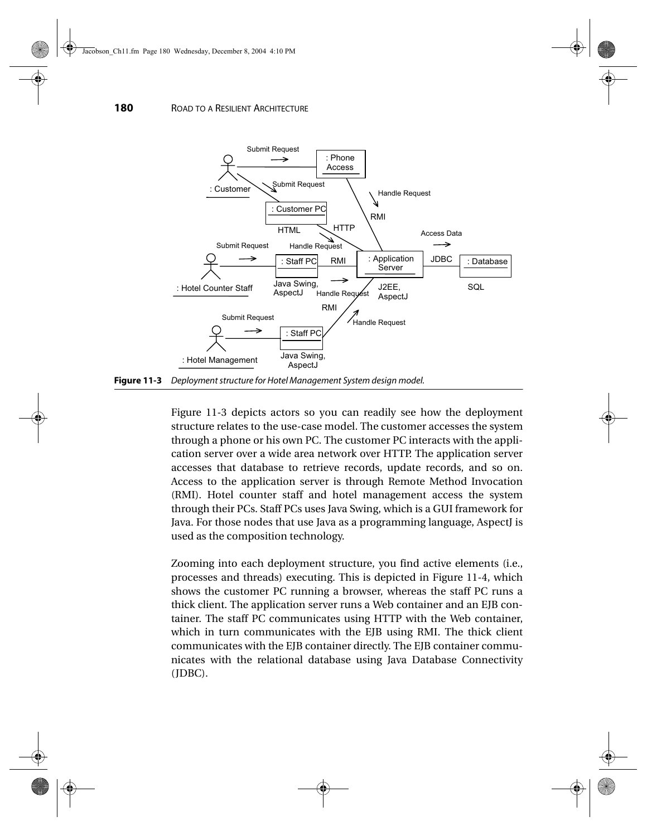

**Figure 11-3** *Deployment structure for Hotel Management System design model.*

Figure 11-3 depicts actors so you can readily see how the deployment structure relates to the use-case model. The customer accesses the system through a phone or his own PC. The customer PC interacts with the application server over a wide area network over HTTP. The application server accesses that database to retrieve records, update records, and so on. Access to the application server is through Remote Method Invocation (RMI). Hotel counter staff and hotel management access the system through their PCs. Staff PCs uses Java Swing, which is a GUI framework for Java. For those nodes that use Java as a programming language, AspectJ is used as the composition technology.

Zooming into each deployment structure, you find active elements (i.e., processes and threads) executing. This is depicted in Figure 11-4, which shows the customer PC running a browser, whereas the staff PC runs a thick client. The application server runs a Web container and an EJB container. The staff PC communicates using HTTP with the Web container, which in turn communicates with the EJB using RMI. The thick client communicates with the EJB container directly. The EJB container communicates with the relational database using Java Database Connectivity (JDBC).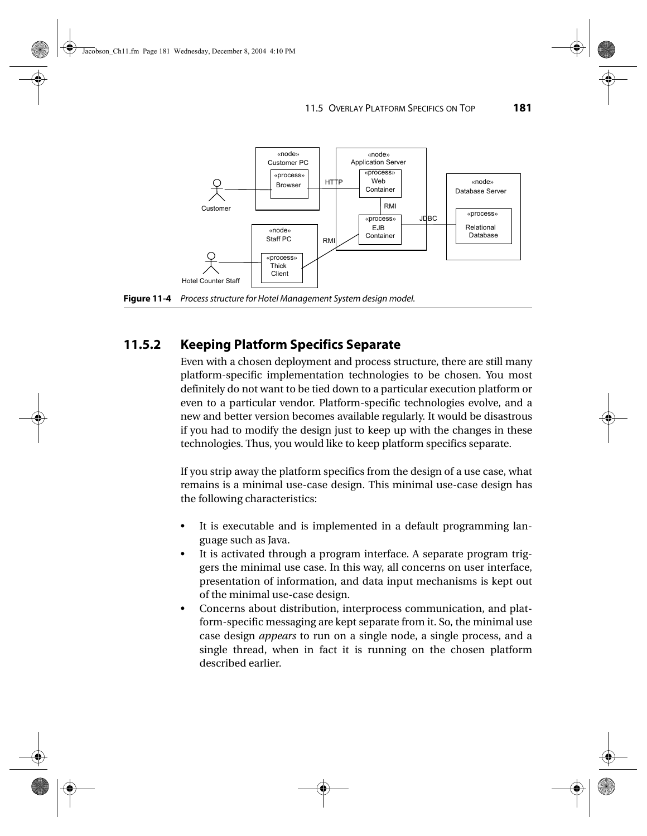## 11.5 OVERLAY PLATFORM SPECIFICS ON TOP **181**



# **11.5.2 Keeping Platform Specifics Separate**

Even with a chosen deployment and process structure, there are still many platform-specific implementation technologies to be chosen. You most definitely do not want to be tied down to a particular execution platform or even to a particular vendor. Platform-specific technologies evolve, and a new and better version becomes available regularly. It would be disastrous if you had to modify the design just to keep up with the changes in these technologies. Thus, you would like to keep platform specifics separate.

If you strip away the platform specifics from the design of a use case, what remains is a minimal use-case design. This minimal use-case design has the following characteristics:

- It is executable and is implemented in a default programming language such as Java.
- It is activated through a program interface. A separate program triggers the minimal use case. In this way, all concerns on user interface, presentation of information, and data input mechanisms is kept out of the minimal use-case design.
- Concerns about distribution, interprocess communication, and platform-specific messaging are kept separate from it. So, the minimal use case design *appears* to run on a single node, a single process, and a single thread, when in fact it is running on the chosen platform described earlier.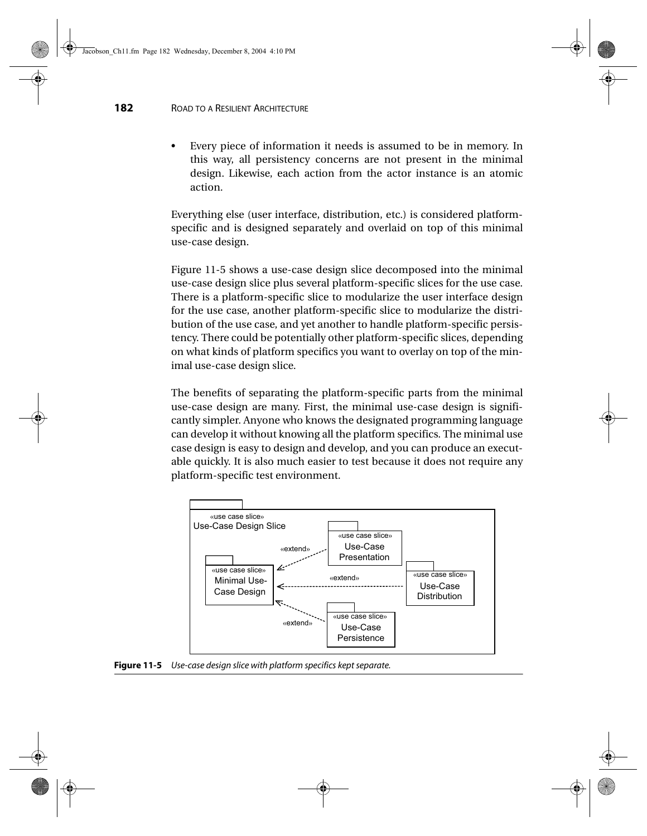• Every piece of information it needs is assumed to be in memory. In this way, all persistency concerns are not present in the minimal design. Likewise, each action from the actor instance is an atomic action.

Everything else (user interface, distribution, etc.) is considered platformspecific and is designed separately and overlaid on top of this minimal use-case design.

Figure 11-5 shows a use-case design slice decomposed into the minimal use-case design slice plus several platform-specific slices for the use case. There is a platform-specific slice to modularize the user interface design for the use case, another platform-specific slice to modularize the distribution of the use case, and yet another to handle platform-specific persistency. There could be potentially other platform-specific slices, depending on what kinds of platform specifics you want to overlay on top of the minimal use-case design slice.

The benefits of separating the platform-specific parts from the minimal use-case design are many. First, the minimal use-case design is significantly simpler. Anyone who knows the designated programming language can develop it without knowing all the platform specifics. The minimal use case design is easy to design and develop, and you can produce an executable quickly. It is also much easier to test because it does not require any platform-specific test environment.



**Figure 11-5** *Use-case design slice with platform specifics kept separate.*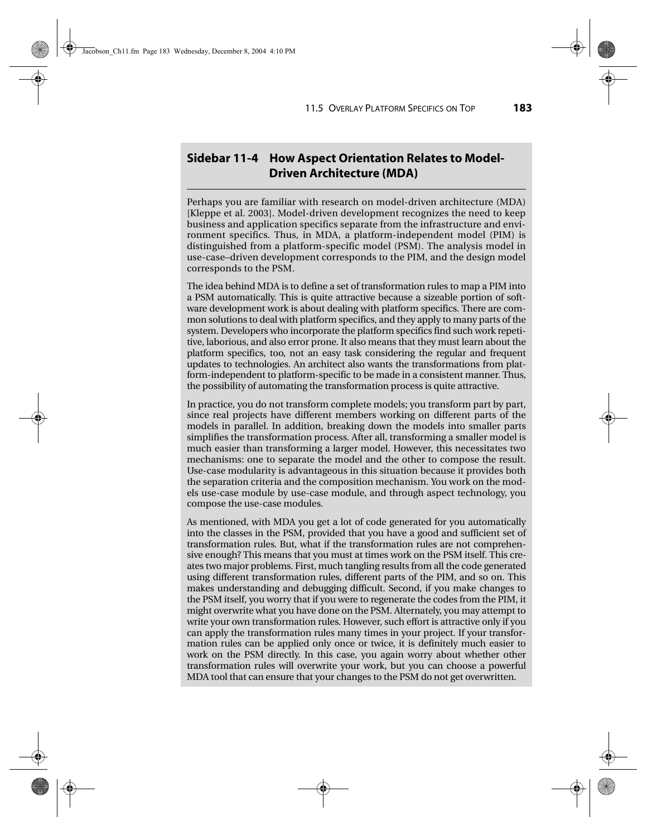## **Sidebar 11-4 How Aspect Orientation Relates to Model-Driven Architecture (MDA)**

Perhaps you are familiar with research on model-driven architecture (MDA) [Kleppe et al. 2003]. Model-driven development recognizes the need to keep business and application specifics separate from the infrastructure and environment specifics. Thus, in MDA, a platform-independent model (PIM) is distinguished from a platform-specific model (PSM). The analysis model in use-case–driven development corresponds to the PIM, and the design model corresponds to the PSM.

The idea behind MDA is to define a set of transformation rules to map a PIM into a PSM automatically. This is quite attractive because a sizeable portion of software development work is about dealing with platform specifics. There are common solutions to deal with platform specifics, and they apply to many parts of the system. Developers who incorporate the platform specifics find such work repetitive, laborious, and also error prone. It also means that they must learn about the platform specifics, too, not an easy task considering the regular and frequent updates to technologies. An architect also wants the transformations from platform-independent to platform-specific to be made in a consistent manner. Thus, the possibility of automating the transformation process is quite attractive.

In practice, you do not transform complete models; you transform part by part, since real projects have different members working on different parts of the models in parallel. In addition, breaking down the models into smaller parts simplifies the transformation process. After all, transforming a smaller model is much easier than transforming a larger model. However, this necessitates two mechanisms: one to separate the model and the other to compose the result. Use-case modularity is advantageous in this situation because it provides both the separation criteria and the composition mechanism. You work on the models use-case module by use-case module, and through aspect technology, you compose the use-case modules.

As mentioned, with MDA you get a lot of code generated for you automatically into the classes in the PSM, provided that you have a good and sufficient set of transformation rules. But, what if the transformation rules are not comprehensive enough? This means that you must at times work on the PSM itself. This creates two major problems. First, much tangling results from all the code generated using different transformation rules, different parts of the PIM, and so on. This makes understanding and debugging difficult. Second, if you make changes to the PSM itself, you worry that if you were to regenerate the codes from the PIM, it might overwrite what you have done on the PSM. Alternately, you may attempt to write your own transformation rules. However, such effort is attractive only if you can apply the transformation rules many times in your project. If your transformation rules can be applied only once or twice, it is definitely much easier to work on the PSM directly. In this case, you again worry about whether other transformation rules will overwrite your work, but you can choose a powerful MDA tool that can ensure that your changes to the PSM do not get overwritten.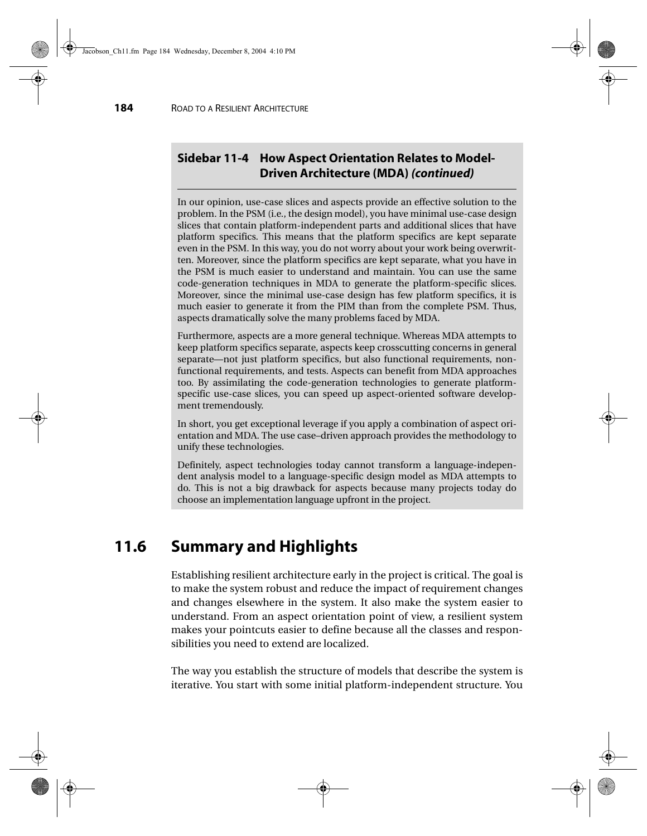## **Sidebar 11-4 How Aspect Orientation Relates to Model-Driven Architecture (MDA)** *(continued)*

In our opinion, use-case slices and aspects provide an effective solution to the problem. In the PSM (i.e., the design model), you have minimal use-case design slices that contain platform-independent parts and additional slices that have platform specifics. This means that the platform specifics are kept separate even in the PSM. In this way, you do not worry about your work being overwritten. Moreover, since the platform specifics are kept separate, what you have in the PSM is much easier to understand and maintain. You can use the same code-generation techniques in MDA to generate the platform-specific slices. Moreover, since the minimal use-case design has few platform specifics, it is much easier to generate it from the PIM than from the complete PSM. Thus, aspects dramatically solve the many problems faced by MDA.

Furthermore, aspects are a more general technique. Whereas MDA attempts to keep platform specifics separate, aspects keep crosscutting concerns in general separate—not just platform specifics, but also functional requirements, nonfunctional requirements, and tests. Aspects can benefit from MDA approaches too. By assimilating the code-generation technologies to generate platformspecific use-case slices, you can speed up aspect-oriented software development tremendously.

In short, you get exceptional leverage if you apply a combination of aspect orientation and MDA. The use case–driven approach provides the methodology to unify these technologies.

Definitely, aspect technologies today cannot transform a language-independent analysis model to a language-specific design model as MDA attempts to do. This is not a big drawback for aspects because many projects today do choose an implementation language upfront in the project.

# **11.6 Summary and Highlights**

Establishing resilient architecture early in the project is critical. The goal is to make the system robust and reduce the impact of requirement changes and changes elsewhere in the system. It also make the system easier to understand. From an aspect orientation point of view, a resilient system makes your pointcuts easier to define because all the classes and responsibilities you need to extend are localized.

The way you establish the structure of models that describe the system is iterative. You start with some initial platform-independent structure. You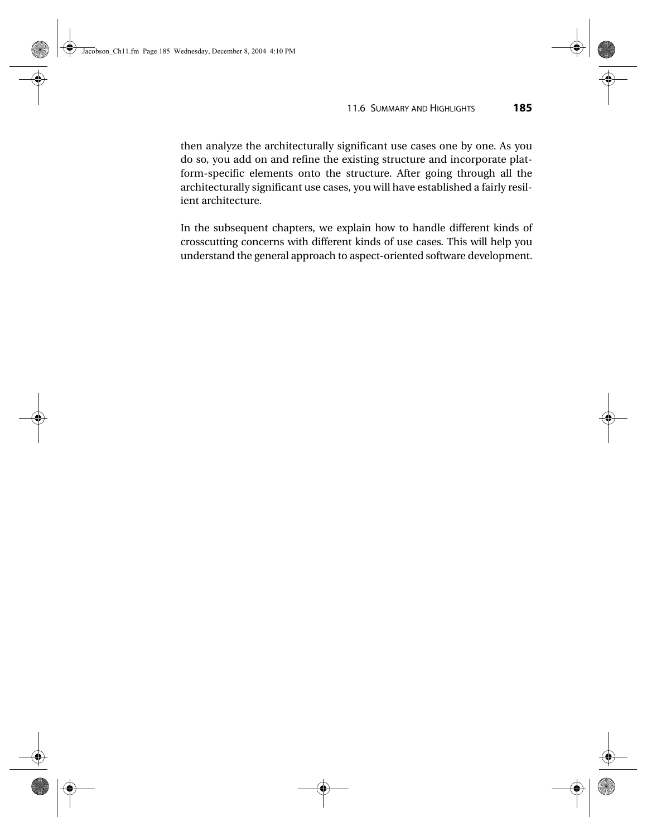#### 11.6 SUMMARY AND HIGHLIGHTS **185**

then analyze the architecturally significant use cases one by one. As you do so, you add on and refine the existing structure and incorporate platform-specific elements onto the structure. After going through all the architecturally significant use cases, you will have established a fairly resilient architecture.

In the subsequent chapters, we explain how to handle different kinds of crosscutting concerns with different kinds of use cases. This will help you understand the general approach to aspect-oriented software development.